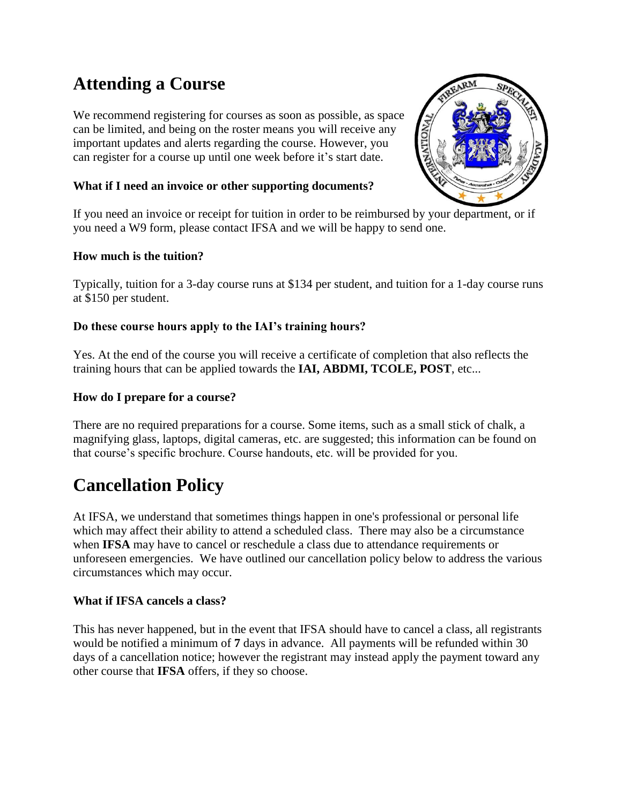# **Attending a Course**

We recommend registering for courses as soon as possible, as space can be limited, and being on the roster means you will receive any important updates and alerts regarding the course. However, you can register for a course up until one week before it's start date.

# **What if I need an invoice or other supporting documents?**



If you need an invoice or receipt for tuition in order to be reimbursed by your department, or if you need a W9 form, please contact IFSA and we will be happy to send one.

## **How much is the tuition?**

Typically, tuition for a 3-day course runs at \$134 per student, and tuition for a 1-day course runs at \$150 per student.

## **Do these course hours apply to the IAI's training hours?**

Yes. At the end of the course you will receive a certificate of completion that also reflects the training hours that can be applied towards the **IAI, ABDMI, TCOLE, POST**, etc...

## **How do I prepare for a course?**

There are no required preparations for a course. Some items, such as a small stick of chalk, a magnifying glass, laptops, digital cameras, etc. are suggested; this information can be found on that course's specific brochure. Course handouts, etc. will be provided for you.

# **Cancellation Policy**

At IFSA, we understand that sometimes things happen in one's professional or personal life which may affect their ability to attend a scheduled class. There may also be a circumstance when **IFSA** may have to cancel or reschedule a class due to attendance requirements or unforeseen emergencies. We have outlined our cancellation policy below to address the various circumstances which may occur.

## **What if IFSA cancels a class?**

This has never happened, but in the event that IFSA should have to cancel a class, all registrants would be notified a minimum of **7** days in advance. All payments will be refunded within 30 days of a cancellation notice; however the registrant may instead apply the payment toward any other course that **IFSA** offers, if they so choose.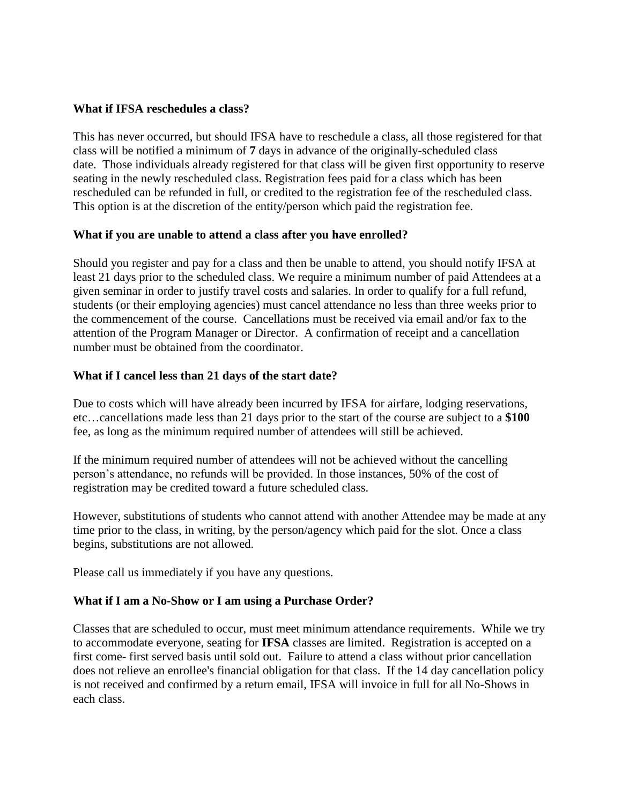#### **What if IFSA reschedules a class?**

This has never occurred, but should IFSA have to reschedule a class, all those registered for that class will be notified a minimum of **7** days in advance of the originally-scheduled class date. Those individuals already registered for that class will be given first opportunity to reserve seating in the newly rescheduled class. Registration fees paid for a class which has been rescheduled can be refunded in full, or credited to the registration fee of the rescheduled class. This option is at the discretion of the entity/person which paid the registration fee.

#### **What if you are unable to attend a class after you have enrolled?**

Should you register and pay for a class and then be unable to attend, you should notify IFSA at least 21 days prior to the scheduled class. We require a minimum number of paid Attendees at a given seminar in order to justify travel costs and salaries. In order to qualify for a full refund, students (or their employing agencies) must cancel attendance no less than three weeks prior to the commencement of the course. Cancellations must be received via email and/or fax to the attention of the Program Manager or Director. A confirmation of receipt and a cancellation number must be obtained from the coordinator.

#### **What if I cancel less than 21 days of the start date?**

Due to costs which will have already been incurred by IFSA for airfare, lodging reservations, etc…cancellations made less than 21 days prior to the start of the course are subject to a **\$100** fee, as long as the minimum required number of attendees will still be achieved.

If the minimum required number of attendees will not be achieved without the cancelling person's attendance, no refunds will be provided. In those instances, 50% of the cost of registration may be credited toward a future scheduled class.

However, substitutions of students who cannot attend with another Attendee may be made at any time prior to the class, in writing, by the person/agency which paid for the slot. Once a class begins, substitutions are not allowed.

Please call us immediately if you have any questions.

## **What if I am a No-Show or I am using a Purchase Order?**

Classes that are scheduled to occur, must meet minimum attendance requirements. While we try to accommodate everyone, seating for **IFSA** classes are limited. Registration is accepted on a first come- first served basis until sold out. Failure to attend a class without prior cancellation does not relieve an enrollee's financial obligation for that class. If the 14 day cancellation policy is not received and confirmed by a return email, IFSA will invoice in full for all No-Shows in each class.